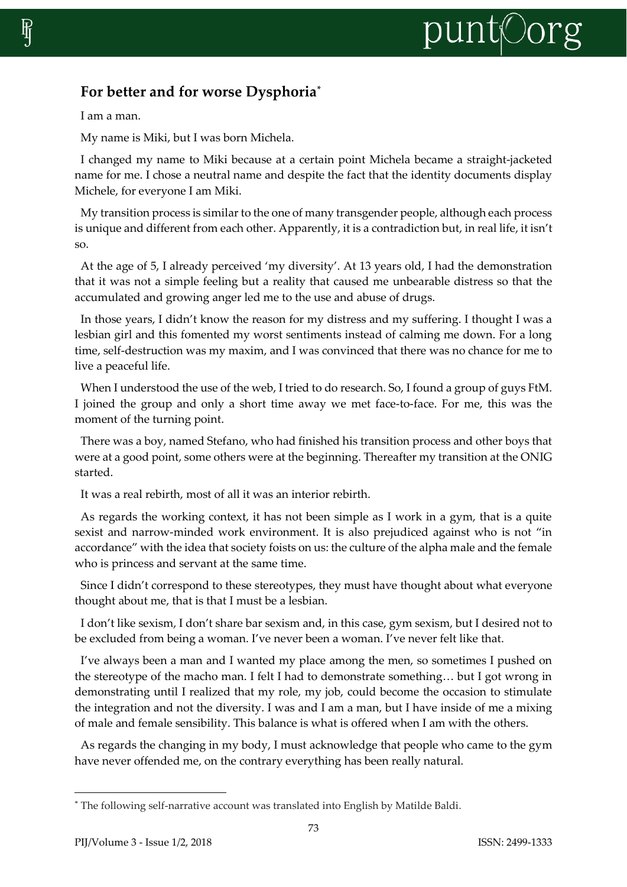## punt©org

## **For better and for worse Dysphoria\***

I am a man.

My name is Miki, but I was born Michela.

I changed my name to Miki because at a certain point Michela became a straight-jacketed name for me. I chose a neutral name and despite the fact that the identity documents display Michele, for everyone I am Miki.

My transition process is similar to the one of many transgender people, although each process is unique and different from each other. Apparently, it is a contradiction but, in real life, it isn't so.

At the age of 5, I already perceived 'my diversity'. At 13 years old, I had the demonstration that it was not a simple feeling but a reality that caused me unbearable distress so that the accumulated and growing anger led me to the use and abuse of drugs.

In those years, I didn't know the reason for my distress and my suffering. I thought I was a lesbian girl and this fomented my worst sentiments instead of calming me down. For a long time, self-destruction was my maxim, and I was convinced that there was no chance for me to live a peaceful life.

When I understood the use of the web, I tried to do research. So, I found a group of guys FtM. I joined the group and only a short time away we met face-to-face. For me, this was the moment of the turning point.

There was a boy, named Stefano, who had finished his transition process and other boys that were at a good point, some others were at the beginning. Thereafter my transition at the ONIG started.

It was a real rebirth, most of all it was an interior rebirth.

As regards the working context, it has not been simple as I work in a gym, that is a quite sexist and narrow-minded work environment. It is also prejudiced against who is not "in accordance" with the idea that society foists on us: the culture of the alpha male and the female who is princess and servant at the same time.

Since I didn't correspond to these stereotypes, they must have thought about what everyone thought about me, that is that I must be a lesbian.

I don't like sexism, I don't share bar sexism and, in this case, gym sexism, but I desired not to be excluded from being a woman. I've never been a woman. I've never felt like that.

I've always been a man and I wanted my place among the men, so sometimes I pushed on the stereotype of the macho man. I felt I had to demonstrate something… but I got wrong in demonstrating until I realized that my role, my job, could become the occasion to stimulate the integration and not the diversity. I was and I am a man, but I have inside of me a mixing of male and female sensibility. This balance is what is offered when I am with the others.

As regards the changing in my body, I must acknowledge that people who came to the gym have never offended me, on the contrary everything has been really natural.

 $\overline{\phantom{a}}$ 

<sup>\*</sup> The following self-narrative account was translated into English by Matilde Baldi.